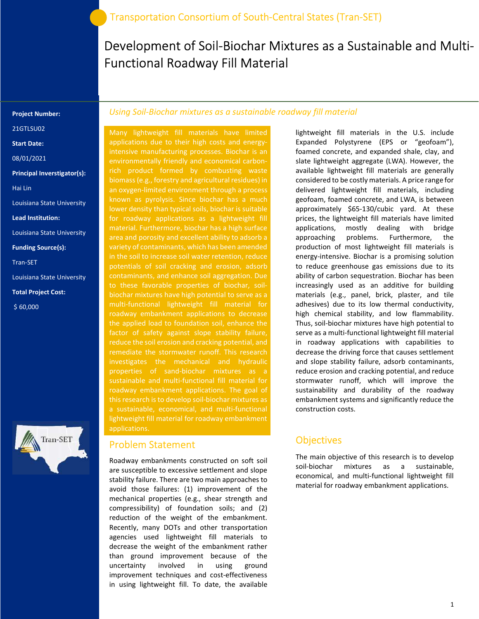# Development of Soil-Biochar Mixtures as a Sustainable and Multi-Functional Roadway Fill Material

#### Project Number:

21GTLSU02

Start Date:

08/01/2021

Principal Inverstigator(s):

Hai Lin

Louisiana State University

Lead Institution:

Louisiana State University

Funding Source(s):

Tran-SET

Louisiana State University

Total Project Cost:

\$ 60,000



#### Using Soil-Biochar mixtures as a sustainable roadway fill material

Many lightweight fill materials have limited applications due to their high costs and energyintensive manufacturing processes. Biochar is an rich product formed by combusting waste biomass (e.g., forestry and agricultural residues) in an oxygen-limited environment through a process known as pyrolysis. Since biochar has a much lower density than typical soils, biochar is suitable for roadway applications as a lightweight fill material. Furthermore, biochar has a high surface area and porosity and excellent ability to adsorb a variety of contaminants, which has been amended in the soil to increase soil water retention, reduce potentials of soil cracking and erosion, adsorb contaminants, and enhance soil aggregation. Due to these favorable properties of biochar, soilbiochar mixtures have high potential to serve as a multi-functional lightweight fill material for roadway embankment applications to decrease the applied load to foundation soil, enhance the factor of safety against slope stability failure, reduce the soil erosion and cracking potential, and investigates the mechanical and hydraulic properties of sand-biochar mixtures as a sustainable and multi-functional fill material for roadway embankment applications. The goal of lightweight fill material for roadway embankment applications.

#### Problem Statement

Roadway embankments constructed on soft soil are susceptible to excessive settlement and slope stability failure. There are two main approaches to avoid those failures: (1) improvement of the mechanical properties (e.g., shear strength and compressibility) of foundation soils; and (2) reduction of the weight of the embankment. Recently, many DOTs and other transportation agencies used lightweight fill materials to decrease the weight of the embankment rather than ground improvement because of the uncertainty involved in using ground improvement techniques and cost-effectiveness in using lightweight fill. To date, the available

lightweight fill materials in the U.S. include Expanded Polystyrene (EPS or "geofoam"), foamed concrete, and expanded shale, clay, and slate lightweight aggregate (LWA). However, the available lightweight fill materials are generally considered to be costly materials. A price range for delivered lightweight fill materials, including geofoam, foamed concrete, and LWA, is between approximately \$65-130/cubic yard. At these prices, the lightweight fill materials have limited applications, mostly dealing with bridge approaching problems. Furthermore, the production of most lightweight fill materials is energy-intensive. Biochar is a promising solution to reduce greenhouse gas emissions due to its ability of carbon sequestration. Biochar has been increasingly used as an additive for building materials (e.g., panel, brick, plaster, and tile adhesives) due to its low thermal conductivity, high chemical stability, and low flammability. Thus, soil-biochar mixtures have high potential to serve as a multi-functional lightweight fill material in roadway applications with capabilities to decrease the driving force that causes settlement and slope stability failure, adsorb contaminants, reduce erosion and cracking potential, and reduce stormwater runoff, which will improve the sustainability and durability of the roadway embankment systems and significantly reduce the construction costs.

#### **Objectives**

The main objective of this research is to develop soil-biochar mixtures as a sustainable, economical, and multi-functional lightweight fill material for roadway embankment applications.